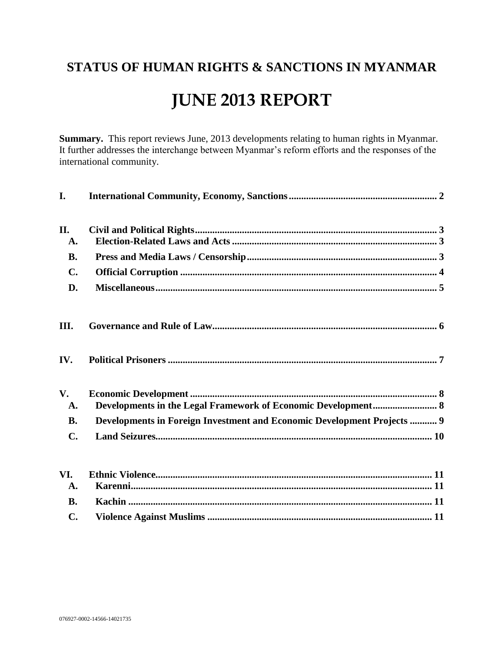# **STATUS OF HUMAN RIGHTS & SANCTIONS IN MYANMAR JUNE 2013 REPORT**

**Summary.** This report reviews June, 2013 developments relating to human rights in Myanmar. It further addresses the interchange between Myanmar's reform efforts and the responses of the international community.

| I.                    |                                                                         |
|-----------------------|-------------------------------------------------------------------------|
| II.<br>$\mathbf{A}$ . |                                                                         |
| <b>B.</b>             |                                                                         |
| $\mathbf{C}$ .        |                                                                         |
| D.                    |                                                                         |
| III.                  |                                                                         |
| IV.                   |                                                                         |
| $V_{\bullet}$<br>A.   | Developments in the Legal Framework of Economic Development 8           |
| <b>B.</b>             | Developments in Foreign Investment and Economic Development Projects  9 |
| $\mathbf{C}$ .        |                                                                         |
| VI.                   |                                                                         |
| A.                    |                                                                         |
| <b>B.</b>             |                                                                         |
| C.                    |                                                                         |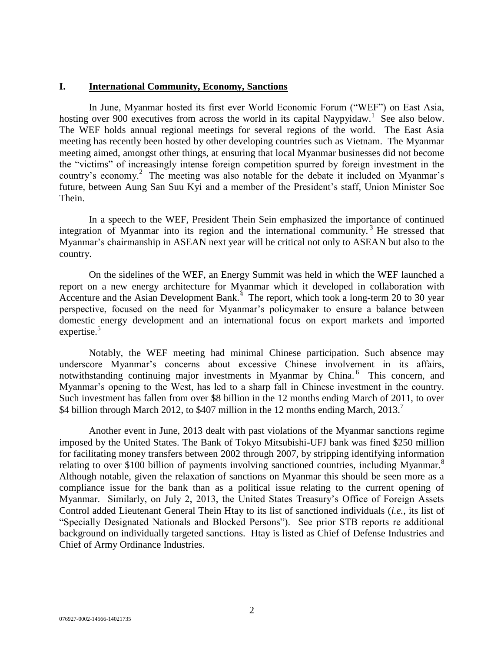## <span id="page-1-0"></span>**I. International Community, Economy, Sanctions**

In June, Myanmar hosted its first ever World Economic Forum ("WEF") on East Asia, hosting over 900 executives from across the world in its capital Naypyidaw.<sup>1</sup> See also below. The WEF holds annual regional meetings for several regions of the world. The East Asia meeting has recently been hosted by other developing countries such as Vietnam. The Myanmar meeting aimed, amongst other things, at ensuring that local Myanmar businesses did not become the "victims" of increasingly intense foreign competition spurred by foreign investment in the country's economy.<sup>2</sup> The meeting was also notable for the debate it included on Myanmar's future, between Aung San Suu Kyi and a member of the President's staff, Union Minister Soe Thein.

In a speech to the WEF, President Thein Sein emphasized the importance of continued integration of Myanmar into its region and the international community.<sup>3</sup> He stressed that Myanmar's chairmanship in ASEAN next year will be critical not only to ASEAN but also to the country.

On the sidelines of the WEF, an Energy Summit was held in which the WEF launched a report on a new energy architecture for Myanmar which it developed in collaboration with Accenture and the Asian Development Bank. $4\text{ The report, which took a long-term 20 to 30 year}$ perspective, focused on the need for Myanmar's policymaker to ensure a balance between domestic energy development and an international focus on export markets and imported expertise. $5$ 

Notably, the WEF meeting had minimal Chinese participation. Such absence may underscore Myanmar's concerns about excessive Chinese involvement in its affairs, notwithstanding continuing major investments in Myanmar by China.<sup>6</sup> This concern, and Myanmar's opening to the West, has led to a sharp fall in Chinese investment in the country. Such investment has fallen from over \$8 billion in the 12 months ending March of 2011, to over \$4 billion through March 2012, to \$407 million in the 12 months ending March,  $2013$ .<sup>7</sup>

Another event in June, 2013 dealt with past violations of the Myanmar sanctions regime imposed by the United States. The Bank of Tokyo Mitsubishi-UFJ bank was fined \$250 million for facilitating money transfers between 2002 through 2007, by stripping identifying information relating to over \$100 billion of payments involving sanctioned countries, including Myanmar.<sup>8</sup> Although notable, given the relaxation of sanctions on Myanmar this should be seen more as a compliance issue for the bank than as a political issue relating to the current opening of Myanmar. Similarly, on July 2, 2013, the United States Treasury's Office of Foreign Assets Control added Lieutenant General Thein Htay to its list of sanctioned individuals (*i.e.*, its list of "Specially Designated Nationals and Blocked Persons"). See prior STB reports re additional background on individually targeted sanctions. Htay is listed as Chief of Defense Industries and Chief of Army Ordinance Industries.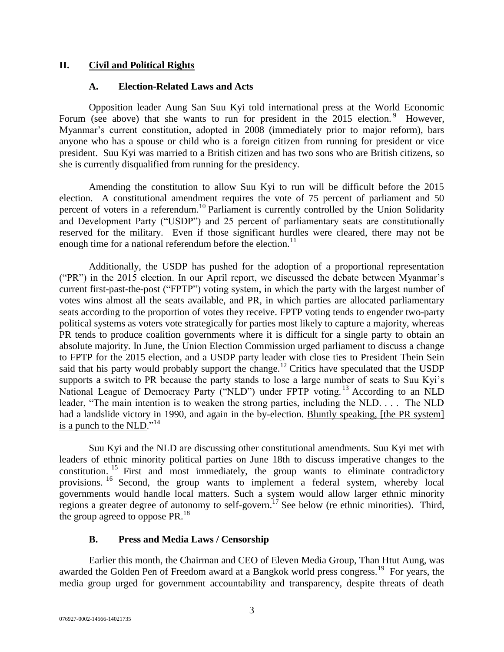# <span id="page-2-1"></span><span id="page-2-0"></span>**II. Civil and Political Rights**

# **A. Election-Related Laws and Acts**

Opposition leader Aung San Suu Kyi told international press at the World Economic Forum (see above) that she wants to run for president in the 2015 election.<sup>9</sup> However, Myanmar's current constitution, adopted in 2008 (immediately prior to major reform), bars anyone who has a spouse or child who is a foreign citizen from running for president or vice president. Suu Kyi was married to a British citizen and has two sons who are British citizens, so she is currently disqualified from running for the presidency.

Amending the constitution to allow Suu Kyi to run will be difficult before the 2015 election. A constitutional amendment requires the vote of 75 percent of parliament and 50 percent of voters in a referendum.<sup>10</sup> Parliament is currently controlled by the Union Solidarity and Development Party ("USDP") and 25 percent of parliamentary seats are constitutionally reserved for the military. Even if those significant hurdles were cleared, there may not be enough time for a national referendum before the election.<sup>11</sup>

Additionally, the USDP has pushed for the adoption of a proportional representation ("PR") in the 2015 election. In our April report, we discussed the debate between Myanmar's current first-past-the-post ("FPTP") voting system, in which the party with the largest number of votes wins almost all the seats available, and PR, in which parties are allocated parliamentary seats according to the proportion of votes they receive. FPTP voting tends to engender two-party political systems as voters vote strategically for parties most likely to capture a majority, whereas PR tends to produce coalition governments where it is difficult for a single party to obtain an absolute majority. In June, the Union Election Commission urged parliament to discuss a change to FPTP for the 2015 election, and a USDP party leader with close ties to President Thein Sein said that his party would probably support the change.<sup>12</sup> Critics have speculated that the USDP supports a switch to PR because the party stands to lose a large number of seats to Suu Kyi's National League of Democracy Party ("NLD") under FPTP voting.<sup>13</sup> According to an NLD leader, "The main intention is to weaken the strong parties, including the NLD. . . . The NLD had a landslide victory in 1990, and again in the by-election. Bluntly speaking, [the PR system] is a punch to the NLD." $14$ 

Suu Kyi and the NLD are discussing other constitutional amendments. Suu Kyi met with leaders of ethnic minority political parties on June 18th to discuss imperative changes to the constitution. <sup>15</sup> First and most immediately, the group wants to eliminate contradictory provisions. <sup>16</sup> Second, the group wants to implement a federal system, whereby local governments would handle local matters. Such a system would allow larger ethnic minority regions a greater degree of autonomy to self-govern.<sup>17</sup> See below (re ethnic minorities). Third, the group agreed to oppose  $PR<sup>18</sup>$ .

# **B. Press and Media Laws / Censorship**

<span id="page-2-2"></span>Earlier this month, the Chairman and CEO of Eleven Media Group, Than Htut Aung, was awarded the Golden Pen of Freedom award at a Bangkok world press congress.<sup>19</sup> For years, the media group urged for government accountability and transparency, despite threats of death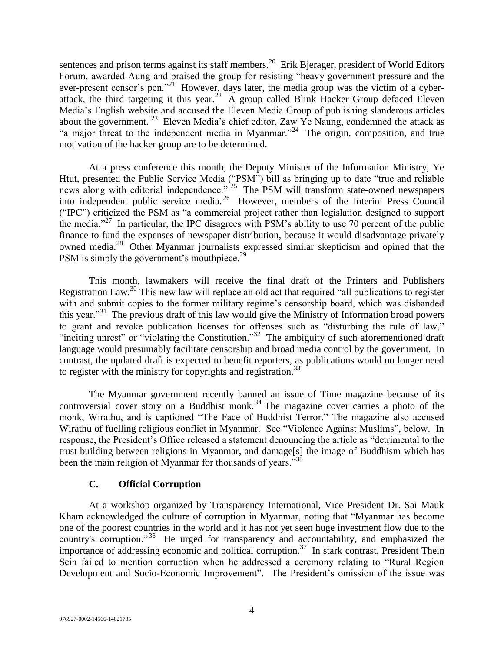sentences and prison terms against its staff members.<sup>20</sup> Erik Bjerager, president of World Editors Forum, awarded Aung and praised the group for resisting "heavy government pressure and the ever-present censor's pen."<sup>21</sup> However, days later, the media group was the victim of a cyberattack, the third targeting it this year.<sup>22</sup> A group called Blink Hacker Group defaced Eleven Media's English website and accused the Eleven Media Group of publishing slanderous articles about the government.  $^{23}$  Eleven Media's chief editor, Zaw Ye Naung, condemned the attack as "a major threat to the independent media in Myanmar."<sup>24</sup> The origin, composition, and true motivation of the hacker group are to be determined.

At a press conference this month, the Deputy Minister of the Information Ministry, Ye Htut, presented the Public Service Media ("PSM") bill as bringing up to date "true and reliable news along with editorial independence."<sup>25</sup> The PSM will transform state-owned newspapers into independent public service media.<sup>26</sup> However, members of the Interim Press Council ("IPC") criticized the PSM as "a commercial project rather than legislation designed to support the media. $127$  In particular, the IPC disagrees with PSM's ability to use 70 percent of the public finance to fund the expenses of newspaper distribution, because it would disadvantage privately owned media.<sup>28</sup> Other Myanmar journalists expressed similar skepticism and opined that the PSM is simply the government's mouthpiece.<sup>29</sup>

This month, lawmakers will receive the final draft of the Printers and Publishers Registration Law.<sup>30</sup> This new law will replace an old act that required "all publications to register with and submit copies to the former military regime's censorship board, which was disbanded this year."<sup>31</sup> The previous draft of this law would give the Ministry of Information broad powers to grant and revoke publication licenses for offenses such as "disturbing the rule of law," "inciting unrest" or "violating the Constitution."<sup>32</sup> The ambiguity of such aforementioned draft language would presumably facilitate censorship and broad media control by the government. In contrast, the updated draft is expected to benefit reporters, as publications would no longer need to register with the ministry for copyrights and registration.<sup>33</sup>

The Myanmar government recently banned an issue of Time magazine because of its controversial cover story on a Buddhist monk.<sup>34</sup> The magazine cover carries a photo of the monk, Wirathu, and is captioned "The Face of Buddhist Terror." The magazine also accused Wirathu of fuelling religious conflict in Myanmar. See "Violence Against Muslims", below. In response, the President's Office released a statement denouncing the article as "detrimental to the trust building between religions in Myanmar, and damage[s] the image of Buddhism which has been the main religion of Myanmar for thousands of years."<sup>35</sup>

# **C. Official Corruption**

<span id="page-3-0"></span>At a workshop organized by Transparency International, Vice President Dr. Sai Mauk Kham acknowledged the culture of corruption in Myanmar, noting that "Myanmar has become one of the poorest countries in the world and it has not yet seen huge investment flow due to the country's corruption."<sup>36</sup> He urged for transparency and accountability, and emphasized the importance of addressing economic and political corruption.<sup>37</sup> In stark contrast, President Thein Sein failed to mention corruption when he addressed a ceremony relating to "Rural Region Development and Socio-Economic Improvement". The President's omission of the issue was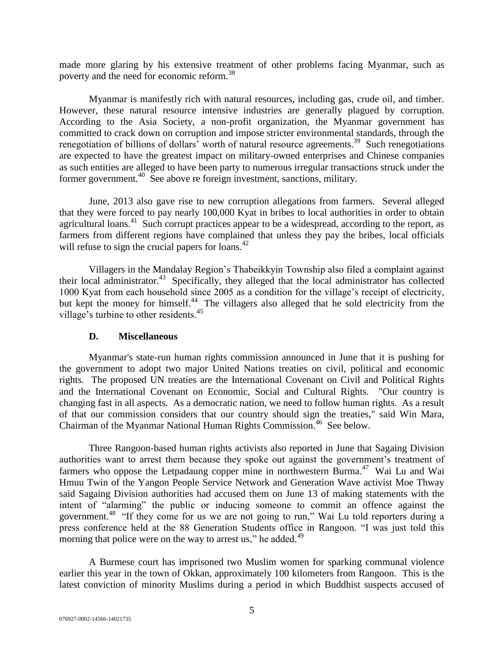made more glaring by his extensive treatment of other problems facing Myanmar, such as poverty and the need for economic reform.<sup>38</sup>

Myanmar is manifestly rich with natural resources, including gas, crude oil, and timber. However, these natural resource intensive industries are generally plagued by corruption. According to the Asia Society, a non-profit organization, the Myanmar government has committed to crack down on corruption and impose stricter environmental standards, through the renegotiation of billions of dollars<sup>3</sup> worth of natural resource agreements.<sup>39</sup> Such renegotiations are expected to have the greatest impact on military-owned enterprises and Chinese companies as such entities are alleged to have been party to numerous irregular transactions struck under the former government.<sup>40</sup> See above re foreign investment, sanctions, military.

June, 2013 also gave rise to new corruption allegations from farmers. Several alleged that they were forced to pay nearly 100,000 Kyat in bribes to local authorities in order to obtain agricultural loans.<sup>41</sup> Such corrupt practices appear to be a widespread, according to the report, as farmers from different regions have complained that unless they pay the bribes, local officials will refuse to sign the crucial papers for loans.<sup>42</sup>

Villagers in the Mandalay Region's Thabeikkyin Township also filed a complaint against their local administrator.<sup>43</sup> Specifically, they alleged that the local administrator has collected 1000 Kyat from each household since 2005 as a condition for the village's receipt of electricity, but kept the money for himself.<sup>44</sup> The villagers also alleged that he sold electricity from the village's turbine to other residents.<sup>45</sup>

# **D. Miscellaneous**

<span id="page-4-0"></span>Myanmar's state-run human rights commission announced in June that it is pushing for the government to adopt two major United Nations treaties on civil, political and economic rights. The proposed UN treaties are the International Covenant on Civil and Political Rights and the International Covenant on Economic, Social and Cultural Rights. "Our country is changing fast in all aspects. As a democratic nation, we need to follow human rights. As a result of that our commission considers that our country should sign the treaties," said Win Mara, Chairman of the Myanmar National Human Rights Commission.<sup>46</sup> See below.

Three Rangoon-based human rights activists also reported in June that Sagaing Division authorities want to arrest them because they spoke out against the government's treatment of farmers who oppose the Letpadaung copper mine in northwestern Burma.<sup>47</sup> Wai Lu and Wai Hmuu Twin of the Yangon People Service Network and Generation Wave activist Moe Thway said Sagaing Division authorities had accused them on June 13 of making statements with the intent of "alarming" the public or inducing someone to commit an offence against the government.<sup>48</sup> "If they come for us we are not going to run," Wai Lu told reporters during a press conference held at the 88 Generation Students office in Rangoon. "I was just told this morning that police were on the way to arrest us," he added.<sup>49</sup>

A Burmese court has imprisoned two Muslim women for sparking communal violence earlier this year in the town of Okkan, approximately 100 kilometers from Rangoon. This is the latest conviction of minority Muslims during a period in which Buddhist suspects accused of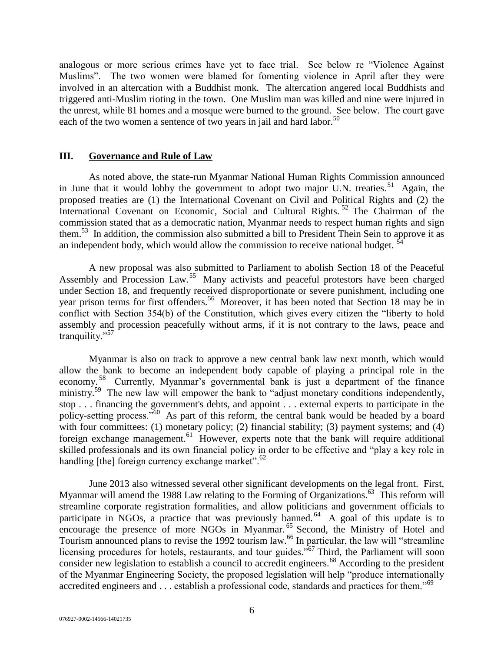analogous or more serious crimes have yet to face trial. See below re "Violence Against Muslims". The two women were blamed for fomenting violence in April after they were involved in an altercation with a Buddhist monk. The altercation angered local Buddhists and triggered anti-Muslim rioting in the town. One Muslim man was killed and nine were injured in the unrest, while 81 homes and a mosque were burned to the ground. See below. The court gave each of the two women a sentence of two years in jail and hard labor.<sup>50</sup>

#### <span id="page-5-0"></span>**III. Governance and Rule of Law**

As noted above, the state-run Myanmar National Human Rights Commission announced in June that it would lobby the government to adopt two major U.N. treaties.<sup>51</sup> Again, the proposed treaties are (1) the International Covenant on Civil and Political Rights and (2) the International Covenant on Economic, Social and Cultural Rights.<sup>52</sup> The Chairman of the commission stated that as a democratic nation, Myanmar needs to respect human rights and sign them.<sup>53</sup> In addition, the commission also submitted a bill to President Thein Sein to approve it as an independent body, which would allow the commission to receive national budget.  $54$ 

A new proposal was also submitted to Parliament to abolish Section 18 of the Peaceful Assembly and Procession Law.<sup>55</sup> Many activists and peaceful protestors have been charged under Section 18, and frequently received disproportionate or severe punishment, including one year prison terms for first offenders.<sup>56</sup> Moreover, it has been noted that Section 18 may be in conflict with Section 354(b) of the Constitution, which gives every citizen the "liberty to hold assembly and procession peacefully without arms, if it is not contrary to the laws, peace and tranquility."<sup>57</sup>

Myanmar is also on track to approve a new central bank law next month, which would allow the bank to become an independent body capable of playing a principal role in the economy.<sup>58</sup> Currently, Myanmar's governmental bank is just a department of the finance ministry.<sup>59</sup> The new law will empower the bank to "adjust monetary conditions independently, stop . . . financing the government's debts, and appoint . . . external experts to participate in the policy-setting process."<sup>60</sup> As part of this reform, the central bank would be headed by a board with four committees: (1) monetary policy; (2) financial stability; (3) payment systems; and (4) foreign exchange management.<sup>61</sup> However, experts note that the bank will require additional skilled professionals and its own financial policy in order to be effective and "play a key role in handling [the] foreign currency exchange market".<sup>62</sup>

June 2013 also witnessed several other significant developments on the legal front. First, Myanmar will amend the 1988 Law relating to the Forming of Organizations.<sup>63</sup> This reform will streamline corporate registration formalities, and allow politicians and government officials to participate in NGOs, a practice that was previously banned.<sup>64</sup> A goal of this update is to encourage the presence of more NGOs in Myanmar.<sup>65</sup> Second, the Ministry of Hotel and Tourism announced plans to revise the 1992 tourism law.<sup>66</sup> In particular, the law will "streamline licensing procedures for hotels, restaurants, and tour guides."<sup>67</sup> Third, the Parliament will soon consider new legislation to establish a council to accredit engineers.<sup>68</sup> According to the president of the Myanmar Engineering Society, the proposed legislation will help "produce internationally accredited engineers and  $\dots$  establish a professional code, standards and practices for them.<sup>569</sup>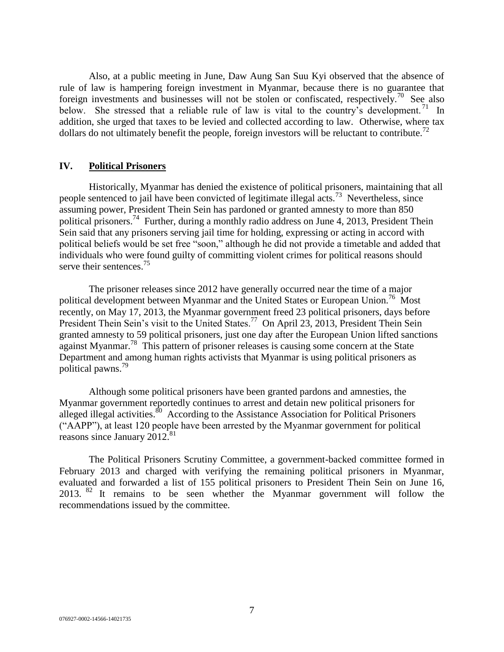Also, at a public meeting in June, Daw Aung San Suu Kyi observed that the absence of rule of law is hampering foreign investment in Myanmar, because there is no guarantee that foreign investments and businesses will not be stolen or confiscated, respectively.<sup>70</sup> See also below. She stressed that a reliable rule of law is vital to the country's development.<sup>71</sup> In addition, she urged that taxes to be levied and collected according to law. Otherwise, where tax dollars do not ultimately benefit the people, foreign investors will be reluctant to contribute.<sup>72</sup>

#### <span id="page-6-0"></span>**IV. Political Prisoners**

Historically, Myanmar has denied the existence of political prisoners, maintaining that all people sentenced to jail have been convicted of legitimate illegal acts.<sup>73</sup> Nevertheless, since assuming power, President Thein Sein has pardoned or granted amnesty to more than 850 political prisoners.<sup>74</sup> Further, during a monthly radio address on June 4, 2013, President Thein Sein said that any prisoners serving jail time for holding, expressing or acting in accord with political beliefs would be set free "soon," although he did not provide a timetable and added that individuals who were found guilty of committing violent crimes for political reasons should serve their sentences.<sup>75</sup>

The prisoner releases since 2012 have generally occurred near the time of a major political development between Myanmar and the United States or European Union.<sup>76</sup> Most recently, on May 17, 2013, the Myanmar government freed 23 political prisoners, days before President Thein Sein's visit to the United States.<sup>77</sup> On April 23, 2013, President Thein Sein granted amnesty to 59 political prisoners, just one day after the European Union lifted sanctions against Myanmar.<sup>78</sup> This pattern of prisoner releases is causing some concern at the State Department and among human rights activists that Myanmar is using political prisoners as political pawns.<sup>79</sup>

Although some political prisoners have been granted pardons and amnesties, the Myanmar government reportedly continues to arrest and detain new political prisoners for alleged illegal activities. $\frac{80}{10}$  According to the Assistance Association for Political Prisoners ("AAPP"), at least 120 people have been arrested by the Myanmar government for political reasons since January  $2012<sup>81</sup>$ 

The Political Prisoners Scrutiny Committee, a government-backed committee formed in February 2013 and charged with verifying the remaining political prisoners in Myanmar, evaluated and forwarded a list of 155 political prisoners to President Thein Sein on June 16, 2013. <sup>82</sup> It remains to be seen whether the Myanmar government will follow the recommendations issued by the committee.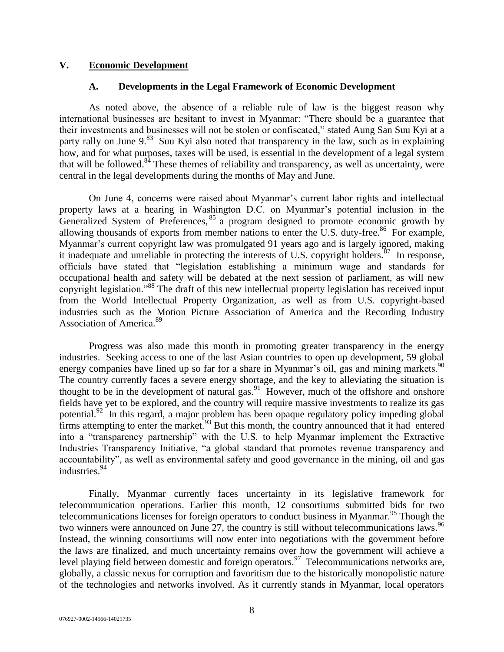## <span id="page-7-1"></span><span id="page-7-0"></span>**V. Economic Development**

## **A. Developments in the Legal Framework of Economic Development**

As noted above, the absence of a reliable rule of law is the biggest reason why international businesses are hesitant to invest in Myanmar: "There should be a guarantee that their investments and businesses will not be stolen or confiscated," stated Aung San Suu Kyi at a party rally on June 9.<sup>83</sup> Suu Kyi also noted that transparency in the law, such as in explaining how, and for what purposes, taxes will be used, is essential in the development of a legal system that will be followed.<sup>84</sup> These themes of reliability and transparency, as well as uncertainty, were central in the legal developments during the months of May and June.

On June 4, concerns were raised about Myanmar's current labor rights and intellectual property laws at a hearing in Washington D.C. on Myanmar's potential inclusion in the Generalized System of Preferences,<sup>85</sup> a program designed to promote economic growth by allowing thousands of exports from member nations to enter the U.S. duty-free.<sup>86</sup> For example, Myanmar's current copyright law was promulgated 91 years ago and is largely ignored, making it inadequate and unreliable in protecting the interests of U.S. copyright holders.<sup>87</sup> In response, officials have stated that "legislation establishing a minimum wage and standards for occupational health and safety will be debated at the next session of parliament, as will new copyright legislation."<sup>88</sup> The draft of this new intellectual property legislation has received input from the World Intellectual Property Organization, as well as from U.S. copyright-based industries such as the Motion Picture Association of America and the Recording Industry Association of America.<sup>89</sup>

Progress was also made this month in promoting greater transparency in the energy industries. Seeking access to one of the last Asian countries to open up development, 59 global energy companies have lined up so far for a share in Myanmar's oil, gas and mining markets.<sup>90</sup> The country currently faces a severe energy shortage, and the key to alleviating the situation is thought to be in the development of natural gas. $91$  However, much of the offshore and onshore fields have yet to be explored, and the country will require massive investments to realize its gas potential.<sup>92</sup> In this regard, a major problem has been opaque regulatory policy impeding global firms attempting to enter the market.<sup>93</sup> But this month, the country announced that it had entered into a "transparency partnership" with the U.S. to help Myanmar implement the Extractive Industries Transparency Initiative, "a global standard that promotes revenue transparency and accountability", as well as environmental safety and good governance in the mining, oil and gas industries.<sup>94</sup>

Finally, Myanmar currently faces uncertainty in its legislative framework for telecommunication operations. Earlier this month, 12 consortiums submitted bids for two telecommunications licenses for foreign operators to conduct business in Myanmar.<sup>95</sup> Though the two winners were announced on June 27, the country is still without telecommunications laws.<sup>96</sup> Instead, the winning consortiums will now enter into negotiations with the government before the laws are finalized, and much uncertainty remains over how the government will achieve a level playing field between domestic and foreign operators.<sup>97</sup> Telecommunications networks are, globally, a classic nexus for corruption and favoritism due to the historically monopolistic nature of the technologies and networks involved. As it currently stands in Myanmar, local operators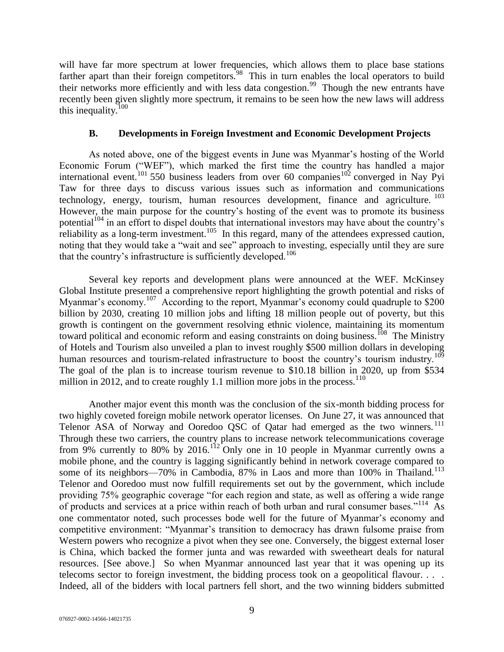will have far more spectrum at lower frequencies, which allows them to place base stations farther apart than their foreign competitors.<sup>98</sup> This in turn enables the local operators to build their networks more efficiently and with less data congestion.<sup>99</sup> Though the new entrants have recently been given slightly more spectrum, it remains to be seen how the new laws will address this inequality. $100$ 

#### **B. Developments in Foreign Investment and Economic Development Projects**

<span id="page-8-0"></span>As noted above, one of the biggest events in June was Myanmar's hosting of the World Economic Forum ("WEF"), which marked the first time the country has handled a major international event.<sup>101</sup> 550 business leaders from over 60 companies<sup>102</sup> converged in Nay Pyi Taw for three days to discuss various issues such as information and communications technology, energy, tourism, human resources development, finance and agriculture.  $^{103}$ However, the main purpose for the country's hosting of the event was to promote its business potential<sup>104</sup> in an effort to dispel doubts that international investors may have about the country's reliability as a long-term investment.<sup>105</sup> In this regard, many of the attendees expressed caution, noting that they would take a "wait and see" approach to investing, especially until they are sure that the country's infrastructure is sufficiently developed.<sup>106</sup>

Several key reports and development plans were announced at the WEF. McKinsey Global Institute presented a comprehensive report highlighting the growth potential and risks of Myanmar's economy.<sup>107</sup> According to the report, Myanmar's economy could quadruple to \$200 billion by 2030, creating 10 million jobs and lifting 18 million people out of poverty, but this growth is contingent on the government resolving ethnic violence, maintaining its momentum toward political and economic reform and easing constraints on doing business.<sup>108</sup> The Ministry of Hotels and Tourism also unveiled a plan to invest roughly \$500 million dollars in developing human resources and tourism-related infrastructure to boost the country's tourism industry.<sup>109</sup> The goal of the plan is to increase tourism revenue to \$10.18 billion in 2020, up from \$534 million in 2012, and to create roughly 1.1 million more jobs in the process.<sup>110</sup>

Another major event this month was the conclusion of the six-month bidding process for two highly coveted foreign mobile network operator licenses. On June 27, it was announced that Telenor ASA of Norway and Ooredoo QSC of Qatar had emerged as the two winners.<sup>111</sup> Through these two carriers, the country plans to increase network telecommunications coverage from 9% currently to 80% by 2016.<sup>112</sup> Only one in 10 people in Myanmar currently owns a mobile phone, and the country is lagging significantly behind in network coverage compared to some of its neighbors—70% in Cambodia, 87% in Laos and more than 100% in Thailand.<sup>113</sup> Telenor and Ooredoo must now fulfill requirements set out by the government, which include providing 75% geographic coverage "for each region and state, as well as offering a wide range of products and services at a price within reach of both urban and rural consumer bases."<sup>114</sup> As one commentator noted, such processes bode well for the future of Myanmar's economy and competitive environment: "Myanmar's transition to democracy has drawn fulsome praise from Western powers who recognize a pivot when they see one. Conversely, the biggest external loser is China, which backed the former junta and was rewarded with sweetheart deals for natural resources. [See above.] So when Myanmar announced last year that it was opening up its telecoms sector to foreign investment, the bidding process took on a geopolitical flavour. . . . Indeed, all of the bidders with local partners fell short, and the two winning bidders submitted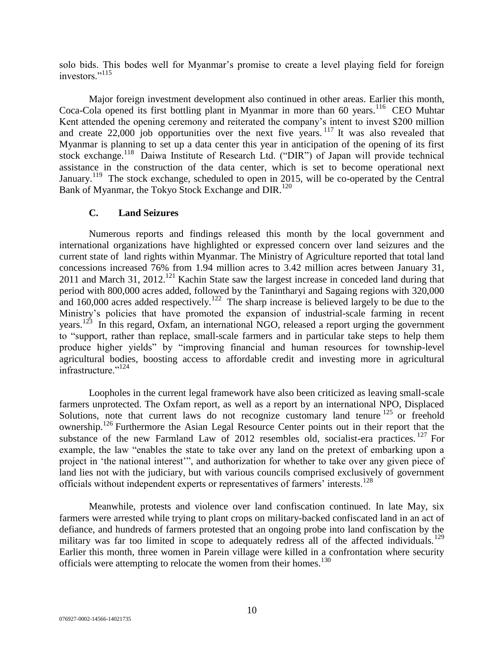solo bids. This bodes well for Myanmar's promise to create a level playing field for foreign investors<sup>"115</sup>

Major foreign investment development also continued in other areas. Earlier this month, Coca-Cola opened its first bottling plant in Myanmar in more than 60 years.<sup>116</sup> CEO Muhtar Kent attended the opening ceremony and reiterated the company's intent to invest \$200 million and create  $22,000$  job opportunities over the next five years.  $117$  It was also revealed that Myanmar is planning to set up a data center this year in anticipation of the opening of its first stock exchange.<sup>118</sup> Daiwa Institute of Research Ltd. ("DIR") of Japan will provide technical assistance in the construction of the data center, which is set to become operational next January.<sup>119</sup> The stock exchange, scheduled to open in 2015, will be co-operated by the Central Bank of Myanmar, the Tokyo Stock Exchange and DIR.<sup>120</sup>

# **C. Land Seizures**

<span id="page-9-0"></span>Numerous reports and findings released this month by the local government and international organizations have highlighted or expressed concern over land seizures and the current state of land rights within Myanmar. The Ministry of Agriculture reported that total land concessions increased 76% from 1.94 million acres to 3.42 million acres between January 31, 2011 and March 31, 2012.<sup>121</sup> Kachin State saw the largest increase in conceded land during that period with 800,000 acres added, followed by the Tanintharyi and Sagaing regions with 320,000 and  $160,000$  acres added respectively.<sup>122</sup> The sharp increase is believed largely to be due to the Ministry's policies that have promoted the expansion of industrial-scale farming in recent years.<sup>123</sup> In this regard, Oxfam, an international NGO, released a report urging the government to "support, rather than replace, small-scale farmers and in particular take steps to help them produce higher yields" by "improving financial and human resources for township-level agricultural bodies, boosting access to affordable credit and investing more in agricultural infrastructure."<sup>124</sup>

Loopholes in the current legal framework have also been criticized as leaving small-scale farmers unprotected. The Oxfam report, as well as a report by an international NPO, Displaced Solutions, note that current laws do not recognize customary land tenure <sup>125</sup> or freehold ownership.<sup>126</sup> Furthermore the Asian Legal Resource Center points out in their report that the substance of the new Farmland Law of 2012 resembles old, socialist-era practices.  $127$  For example, the law "enables the state to take over any land on the pretext of embarking upon a project in 'the national interest'", and authorization for whether to take over any given piece of land lies not with the judiciary, but with various councils comprised exclusively of government officials without independent experts or representatives of farmers' interests.<sup>128</sup>

Meanwhile, protests and violence over land confiscation continued. In late May, six farmers were arrested while trying to plant crops on military-backed confiscated land in an act of defiance, and hundreds of farmers protested that an ongoing probe into land confiscation by the military was far too limited in scope to adequately redress all of the affected individuals.<sup>129</sup> Earlier this month, three women in Parein village were killed in a confrontation where security officials were attempting to relocate the women from their homes.<sup>130</sup>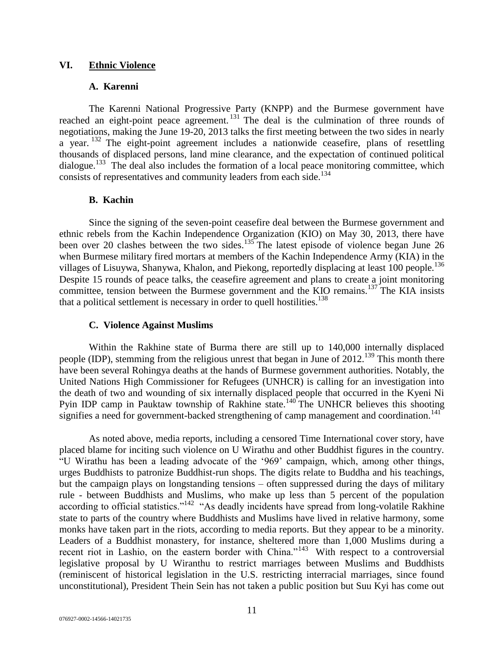#### <span id="page-10-1"></span><span id="page-10-0"></span>**VI. Ethnic Violence**

#### **A. Karenni**

The Karenni National Progressive Party (KNPP) and the Burmese government have reached an eight-point peace agreement.<sup>131</sup> The deal is the culmination of three rounds of negotiations, making the June 19-20, 2013 talks the first meeting between the two sides in nearly a year. <sup>132</sup> The eight-point agreement includes a nationwide ceasefire, plans of resettling thousands of displaced persons, land mine clearance, and the expectation of continued political dialogue.<sup>133</sup> The deal also includes the formation of a local peace monitoring committee, which consists of representatives and community leaders from each side.<sup>134</sup>

#### **B. Kachin**

<span id="page-10-2"></span>Since the signing of the seven-point ceasefire deal between the Burmese government and ethnic rebels from the Kachin Independence Organization (KIO) on May 30, 2013, there have been over 20 clashes between the two sides.<sup>135</sup> The latest episode of violence began June 26 when Burmese military fired mortars at members of the Kachin Independence Army (KIA) in the villages of Lisuywa, Shanywa, Khalon, and Piekong, reportedly displacing at least 100 people.<sup>136</sup> Despite 15 rounds of peace talks, the ceasefire agreement and plans to create a joint monitoring committee, tension between the Burmese government and the KIO remains.<sup>137</sup> The KIA insists that a political settlement is necessary in order to quell hostilities.<sup>138</sup>

#### **C. Violence Against Muslims**

<span id="page-10-3"></span>Within the Rakhine state of Burma there are still up to 140,000 internally displaced people (IDP), stemming from the religious unrest that began in June of  $2012$ <sup>139</sup>. This month there have been several Rohingya deaths at the hands of Burmese government authorities. Notably, the United Nations High Commissioner for Refugees (UNHCR) is calling for an investigation into the death of two and wounding of six internally displaced people that occurred in the Kyeni Ni Pyin IDP camp in Pauktaw township of Rakhine state.<sup>140</sup> The UNHCR believes this shooting signifies a need for government-backed strengthening of camp management and coordination.<sup>141</sup>

As noted above, media reports, including a censored Time International cover story, have placed blame for inciting such violence on U Wirathu and other Buddhist figures in the country. "U Wirathu has been a leading advocate of the '969' campaign, which, among other things, urges Buddhists to patronize Buddhist-run shops. The digits relate to Buddha and his teachings, but the campaign plays on longstanding tensions – often suppressed during the days of military rule - between Buddhists and Muslims, who make up less than 5 percent of the population according to official statistics."<sup>142</sup> "As deadly incidents have spread from long-volatile Rakhine state to parts of the country where Buddhists and Muslims have lived in relative harmony, some monks have taken part in the riots, according to media reports. But they appear to be a minority. Leaders of a Buddhist monastery, for instance, sheltered more than 1,000 Muslims during a recent riot in Lashio, on the eastern border with China."<sup>143</sup> With respect to a controversial legislative proposal by U Wiranthu to restrict marriages between Muslims and Buddhists (reminiscent of historical legislation in the U.S. restricting interracial marriages, since found unconstitutional), President Thein Sein has not taken a public position but Suu Kyi has come out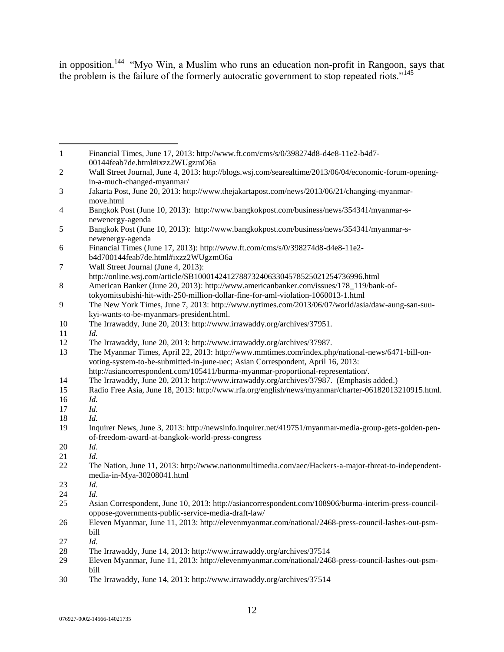in opposition.<sup>144</sup> "Myo Win, a Muslim who runs an education non-profit in Rangoon, says that the problem is the failure of the formerly autocratic government to stop repeated riots."<sup>145</sup>

| $\mathbf{1}$   | Financial Times, June 17, 2013: http://www.ft.com/cms/s/0/398274d8-d4e8-11e2-b4d7-<br>00144feab7de.html#ixzz2WUgzmO6a                                       |
|----------------|-------------------------------------------------------------------------------------------------------------------------------------------------------------|
| $\overline{c}$ | Wall Street Journal, June 4, 2013: http://blogs.wsj.com/searealtime/2013/06/04/economic-forum-opening-<br>in-a-much-changed-myanmar/                        |
| 3              | Jakarta Post, June 20, 2013: http://www.thejakartapost.com/news/2013/06/21/changing-myanmar-<br>move.html                                                   |
| $\overline{4}$ | Bangkok Post (June 10, 2013): http://www.bangkokpost.com/business/news/354341/myanmar-s-<br>newenergy-agenda                                                |
| 5              | Bangkok Post (June 10, 2013): http://www.bangkokpost.com/business/news/354341/myanmar-s-<br>newenergy-agenda                                                |
| 6              | Financial Times (June 17, 2013): http://www.ft.com/cms/s/0/398274d8-d4e8-11e2-<br>b4d700144feab7de.html#ixzz2WUgzmO6a                                       |
| $\tau$         | Wall Street Journal (June 4, 2013):                                                                                                                         |
|                | http://online.wsj.com/article/SB10001424127887324063304578525021254736996.html                                                                              |
| $\,8\,$        | American Banker (June 20, 2013): http://www.americanbanker.com/issues/178_119/bank-of-                                                                      |
|                | tokyomitsubishi-hit-with-250-million-dollar-fine-for-aml-violation-1060013-1.html                                                                           |
| 9              | The New York Times, June 7, 2013: http://www.nytimes.com/2013/06/07/world/asia/daw-aung-san-suu-                                                            |
|                | kyi-wants-to-be-myanmars-president.html.                                                                                                                    |
| 10             | The Irrawaddy, June 20, 2013: http://www.irrawaddy.org/archives/37951.                                                                                      |
| 11             | Id.                                                                                                                                                         |
| 12             | The Irrawaddy, June 20, 2013: http://www.irrawaddy.org/archives/37987.                                                                                      |
| 13             | The Myanmar Times, April 22, 2013: http://www.mmtimes.com/index.php/national-news/6471-bill-on-                                                             |
|                | voting-system-to-be-submitted-in-june-uec; Asian Correspondent, April 16, 2013:                                                                             |
|                | http://asiancorrespondent.com/105411/burma-myanmar-proportional-representation/.                                                                            |
| 14             | The Irrawaddy, June 20, 2013: http://www.irrawaddy.org/archives/37987. (Emphasis added.)                                                                    |
| 15             | Radio Free Asia, June 18, 2013: http://www.rfa.org/english/news/myanmar/charter-06182013210915.html.<br>Id.                                                 |
| 16             | Id.                                                                                                                                                         |
| 17<br>18       | Id.                                                                                                                                                         |
| 19             | Inquirer News, June 3, 2013: http://newsinfo.inquirer.net/419751/myanmar-media-group-gets-golden-pen-                                                       |
|                | of-freedom-award-at-bangkok-world-press-congress                                                                                                            |
| 20             | Id.                                                                                                                                                         |
| 21             | Id.                                                                                                                                                         |
| 22             | The Nation, June 11, 2013: http://www.nationmultimedia.com/aec/Hackers-a-major-threat-to-independent-<br>media-in-Mya-30208041.html                         |
| 23             | Id.                                                                                                                                                         |
| 24             | Id.                                                                                                                                                         |
| 25             | Asian Correspondent, June 10, 2013: http://asiancorrespondent.com/108906/burma-interim-press-council-<br>oppose-governments-public-service-media-draft-law/ |
| 26             | Eleven Myanmar, June 11, 2013: http://elevenmyanmar.com/national/2468-press-council-lashes-out-psm-<br>bill                                                 |
| 27             | Id.                                                                                                                                                         |
| 28             | The Irrawaddy, June 14, 2013: http://www.irrawaddy.org/archives/37514                                                                                       |
| 29             | Eleven Myanmar, June 11, 2013: http://elevenmyanmar.com/national/2468-press-council-lashes-out-psm-<br>bill                                                 |
| 30             | The Irrawaddy, June 14, 2013: http://www.irrawaddy.org/archives/37514                                                                                       |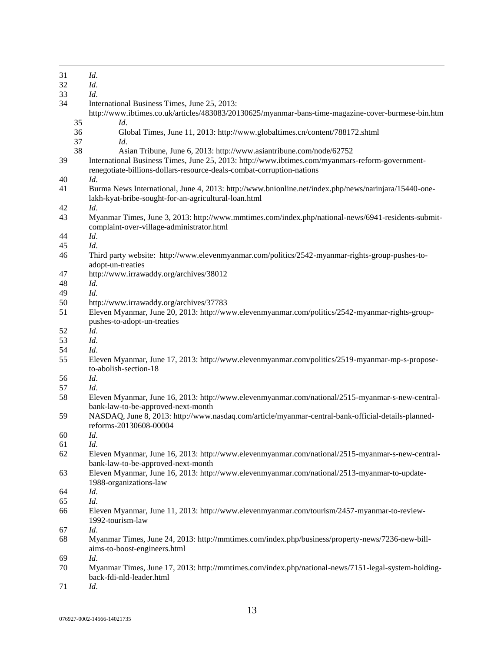| 31 |    | Id.                                                                                                                                    |
|----|----|----------------------------------------------------------------------------------------------------------------------------------------|
| 32 |    | Id.                                                                                                                                    |
| 33 |    | Id.                                                                                                                                    |
| 34 |    | International Business Times, June 25, 2013:                                                                                           |
|    |    | http://www.ibtimes.co.uk/articles/483083/20130625/myanmar-bans-time-magazine-cover-burmese-bin.htm                                     |
|    | 35 | Id.                                                                                                                                    |
|    | 36 | Global Times, June 11, 2013: http://www.globaltimes.cn/content/788172.shtml                                                            |
|    | 37 | Id.                                                                                                                                    |
|    | 38 | Asian Tribune, June 6, 2013: http://www.asiantribune.com/node/62752                                                                    |
| 39 |    | International Business Times, June 25, 2013: http://www.ibtimes.com/myanmars-reform-government-                                        |
|    |    | renegotiate-billions-dollars-resource-deals-combat-corruption-nations                                                                  |
| 40 |    | Id.                                                                                                                                    |
| 41 |    | Burma News International, June 4, 2013: http://www.bnionline.net/index.php/news/narinjara/15440-one-                                   |
|    |    | lakh-kyat-bribe-sought-for-an-agricultural-loan.html                                                                                   |
| 42 |    | Id.                                                                                                                                    |
| 43 |    | Myanmar Times, June 3, 2013: http://www.mmtimes.com/index.php/national-news/6941-residents-submit-                                     |
|    |    | complaint-over-village-administrator.html                                                                                              |
| 44 |    | Id.                                                                                                                                    |
|    |    | Id.                                                                                                                                    |
| 45 |    |                                                                                                                                        |
| 46 |    | Third party website: http://www.elevenmyanmar.com/politics/2542-myanmar-rights-group-pushes-to-                                        |
|    |    | adopt-un-treaties                                                                                                                      |
| 47 |    | http://www.irrawaddy.org/archives/38012                                                                                                |
| 48 |    | Id.                                                                                                                                    |
| 49 |    | Id.                                                                                                                                    |
| 50 |    | http://www.irrawaddy.org/archives/37783                                                                                                |
| 51 |    | Eleven Myanmar, June 20, 2013: http://www.elevenmyanmar.com/politics/2542-myanmar-rights-group-                                        |
|    |    | pushes-to-adopt-un-treaties                                                                                                            |
| 52 |    | Id.                                                                                                                                    |
| 53 |    | Id.                                                                                                                                    |
| 54 |    | Id.                                                                                                                                    |
| 55 |    | Eleven Myanmar, June 17, 2013: http://www.elevenmyanmar.com/politics/2519-myanmar-mp-s-propose-<br>to-abolish-section-18               |
| 56 |    | Id.                                                                                                                                    |
| 57 |    | Id.                                                                                                                                    |
| 58 |    | Eleven Myanmar, June 16, 2013: http://www.elevenmyanmar.com/national/2515-myanmar-s-new-central-<br>bank-law-to-be-approved-next-month |
| 59 |    | NASDAQ, June 8, 2013: http://www.nasdaq.com/article/myanmar-central-bank-official-details-planned-                                     |
|    |    | reforms-20130608-00004                                                                                                                 |
| 60 |    | Id.                                                                                                                                    |
| 61 |    | Id.                                                                                                                                    |
| 62 |    | Eleven Myanmar, June 16, 2013: http://www.elevenmyanmar.com/national/2515-myanmar-s-new-central-                                       |
|    |    | bank-law-to-be-approved-next-month                                                                                                     |
| 63 |    | Eleven Myanmar, June 16, 2013: http://www.elevenmyanmar.com/national/2513-myanmar-to-update-                                           |
|    |    | 1988-organizations-law                                                                                                                 |
| 64 |    | Id.                                                                                                                                    |
| 65 |    | Id.                                                                                                                                    |
| 66 |    | Eleven Myanmar, June 11, 2013: http://www.elevenmyanmar.com/tourism/2457-myanmar-to-review-                                            |
|    |    | 1992-tourism-law                                                                                                                       |
| 67 |    | Id.                                                                                                                                    |
| 68 |    | Myanmar Times, June 24, 2013: http://mmtimes.com/index.php/business/property-news/7236-new-bill-<br>aims-to-boost-engineers.html       |
| 69 |    | Id.                                                                                                                                    |
| 70 |    | Myanmar Times, June 17, 2013: http://mmtimes.com/index.php/national-news/7151-legal-system-holding-                                    |
|    |    | back-fdi-nld-leader.html                                                                                                               |
| 71 |    | Id                                                                                                                                     |

*Id*.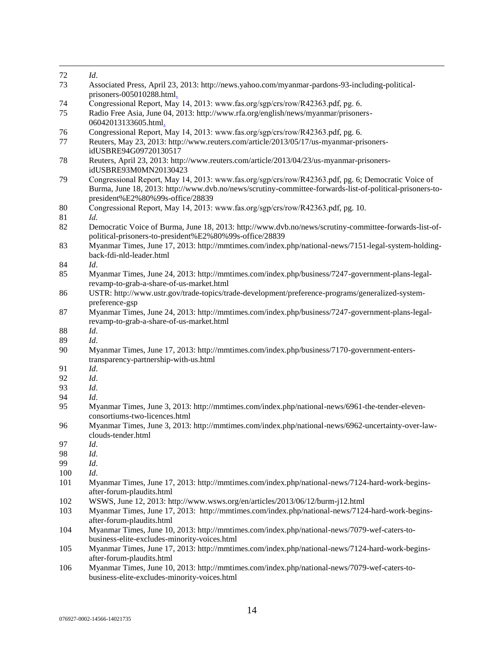| 72  | Id.                                                                                                                                                                                                                                                |
|-----|----------------------------------------------------------------------------------------------------------------------------------------------------------------------------------------------------------------------------------------------------|
| 73  | Associated Press, April 23, 2013: http://news.yahoo.com/myanmar-pardons-93-including-political-<br>prisoners-005010288.html.                                                                                                                       |
| 74  | Congressional Report, May 14, 2013: www.fas.org/sgp/crs/row/R42363.pdf, pg. 6.                                                                                                                                                                     |
| 75  | Radio Free Asia, June 04, 2013: http://www.rfa.org/english/news/myanmar/prisoners-<br>06042013133605.html.                                                                                                                                         |
| 76  | Congressional Report, May 14, 2013: www.fas.org/sgp/crs/row/R42363.pdf, pg. 6.                                                                                                                                                                     |
| 77  | Reuters, May 23, 2013: http://www.reuters.com/article/2013/05/17/us-myanmar-prisoners-<br>idUSBRE94G09720130517                                                                                                                                    |
| 78  | Reuters, April 23, 2013: http://www.reuters.com/article/2013/04/23/us-myanmar-prisoners-<br>idUSBRE93M0MN20130423                                                                                                                                  |
| 79  | Congressional Report, May 14, 2013: www.fas.org/sgp/crs/row/R42363.pdf, pg. 6; Democratic Voice of<br>Burma, June 18, 2013: http://www.dvb.no/news/scrutiny-committee-forwards-list-of-political-prisoners-to-<br>president%E2%80%99s-office/28839 |
| 80  | Congressional Report, May 14, 2013: www.fas.org/sgp/crs/row/R42363.pdf, pg. 10.                                                                                                                                                                    |
| 81  | Id.                                                                                                                                                                                                                                                |
| 82  | Democratic Voice of Burma, June 18, 2013: http://www.dvb.no/news/scrutiny-committee-forwards-list-of-<br>political-prisoners-to-president%E2%80%99s-office/28839                                                                                   |
| 83  | Myanmar Times, June 17, 2013: http://mmtimes.com/index.php/national-news/7151-legal-system-holding-<br>back-fdi-nld-leader.html                                                                                                                    |
| 84  | Id.                                                                                                                                                                                                                                                |
| 85  | Myanmar Times, June 24, 2013: http://mmtimes.com/index.php/business/7247-government-plans-legal-<br>revamp-to-grab-a-share-of-us-market.html                                                                                                       |
| 86  | USTR: http://www.ustr.gov/trade-topics/trade-development/preference-programs/generalized-system-<br>preference-gsp                                                                                                                                 |
| 87  | Myanmar Times, June 24, 2013: http://mmtimes.com/index.php/business/7247-government-plans-legal-<br>revamp-to-grab-a-share-of-us-market.html                                                                                                       |
| 88  | Id.                                                                                                                                                                                                                                                |
| 89  | Id.                                                                                                                                                                                                                                                |
| 90  | Myanmar Times, June 17, 2013: http://mmtimes.com/index.php/business/7170-government-enters-<br>transparency-partnership-with-us.html                                                                                                               |
| 91  | Id.                                                                                                                                                                                                                                                |
| 92  | Id.                                                                                                                                                                                                                                                |
| 93  | Id.                                                                                                                                                                                                                                                |
| 94  | Id.                                                                                                                                                                                                                                                |
| 95  | Myanmar Times, June 3, 2013: http://mmtimes.com/index.php/national-news/6961-the-tender-eleven-<br>consortiums-two-licences.html                                                                                                                   |
| 96  | Myanmar Times, June 3, 2013: http://mmtimes.com/index.php/national-news/6962-uncertainty-over-law-<br>clouds-tender.html                                                                                                                           |
| 97  | Id.                                                                                                                                                                                                                                                |
| 98  | Id.                                                                                                                                                                                                                                                |
| 99  | Id.                                                                                                                                                                                                                                                |
| 100 | Id.                                                                                                                                                                                                                                                |
| 101 | Myanmar Times, June 17, 2013: http://mmtimes.com/index.php/national-news/7124-hard-work-begins-<br>after-forum-plaudits.html                                                                                                                       |
| 102 | WSWS, June 12, 2013: http://www.wsws.org/en/articles/2013/06/12/burm-j12.html                                                                                                                                                                      |
| 103 | Myanmar Times, June 17, 2013: http://mmtimes.com/index.php/national-news/7124-hard-work-begins-<br>after-forum-plaudits.html                                                                                                                       |
| 104 | Myanmar Times, June 10, 2013: http://mmtimes.com/index.php/national-news/7079-wef-caters-to-<br>business-elite-excludes-minority-voices.html                                                                                                       |
| 105 | Myanmar Times, June 17, 2013: http://mmtimes.com/index.php/national-news/7124-hard-work-begins-<br>after-forum-plaudits.html                                                                                                                       |
| 106 | Myanmar Times, June 10, 2013: http://mmtimes.com/index.php/national-news/7079-wef-caters-to-<br>business-elite-excludes-minority-voices.html                                                                                                       |

 $\overline{a}$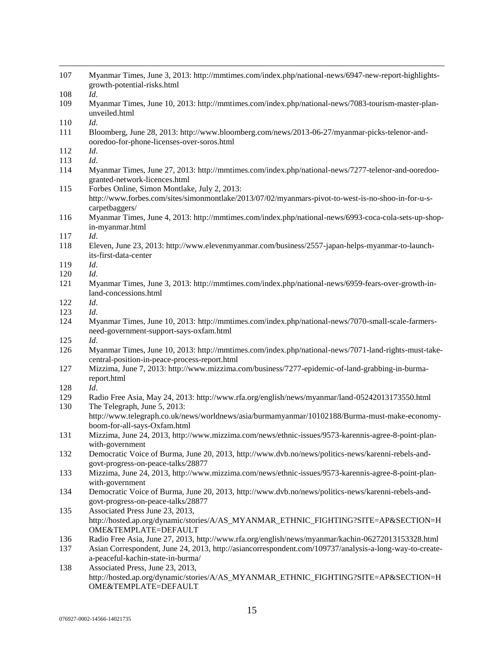| 107        | Myanmar Times, June 3, 2013: http://mmtimes.com/index.php/national-news/6947-new-report-highlights-<br>growth-potential-risks.html                                   |
|------------|----------------------------------------------------------------------------------------------------------------------------------------------------------------------|
| 108        | Id.                                                                                                                                                                  |
| 109        | Myanmar Times, June 10, 2013: http://mmtimes.com/index.php/national-news/7083-tourism-master-plan-<br>unveiled.html                                                  |
| 110        | Id.                                                                                                                                                                  |
| 111        | Bloomberg, June 28, 2013: http://www.bloomberg.com/news/2013-06-27/myanmar-picks-telenor-and-<br>ooredoo-for-phone-licenses-over-soros.html                          |
| 112        | Id.                                                                                                                                                                  |
| 113        | Id.                                                                                                                                                                  |
| 114        | Myanmar Times, June 27, 2013: http://mmtimes.com/index.php/national-news/7277-telenor-and-ooredoo-<br>granted-network-licences.html                                  |
| 115        | Forbes Online, Simon Montlake, July 2, 2013:<br>http://www.forbes.com/sites/simonmontlake/2013/07/02/myanmars-pivot-to-west-is-no-shoo-in-for-u-s-<br>carpetbaggers/ |
| 116        | Myanmar Times, June 4, 2013: http://mmtimes.com/index.php/national-news/6993-coca-cola-sets-up-shop-<br>in-myanmar.html                                              |
| 117        | Id.                                                                                                                                                                  |
| 118        | Eleven, June 23, 2013: http://www.elevenmyanmar.com/business/2557-japan-helps-myanmar-to-launch-<br>its-first-data-center                                            |
| 119        | Id.                                                                                                                                                                  |
| 120        | Id.                                                                                                                                                                  |
| 121        | Myanmar Times, June 3, 2013: http://mmtimes.com/index.php/national-news/6959-fears-over-growth-in-<br>land-concessions.html                                          |
| 122        | Id.                                                                                                                                                                  |
| 123        | Id.                                                                                                                                                                  |
| 124        | Myanmar Times, June 10, 2013: http://mmtimes.com/index.php/national-news/7070-small-scale-farmers-<br>need-government-support-says-oxfam.html                        |
| 125        | Id.                                                                                                                                                                  |
| 126        | Myanmar Times, June 10, 2013: http://mmtimes.com/index.php/national-news/7071-land-rights-must-take-<br>central-position-in-peace-process-report.html                |
| 127        | Mizzima, June 7, 2013: http://www.mizzima.com/business/7277-epidemic-of-land-grabbing-in-burma-<br>report.html                                                       |
| 128        | Id.                                                                                                                                                                  |
| 129<br>130 | Radio Free Asia, May 24, 2013: http://www.rfa.org/english/news/myanmar/land-05242013173550.html<br>The Telegraph, June 5, 2013:                                      |
|            | http://www.telegraph.co.uk/news/worldnews/asia/burmamyanmar/10102188/Burma-must-make-economy-<br>boom-for-all-says-Oxfam.html                                        |
| 131        | Mizzima, June 24, 2013, http://www.mizzima.com/news/ethnic-issues/9573-karennis-agree-8-point-plan-<br>with-government                                               |
| 132        | Democratic Voice of Burma, June 20, 2013, http://www.dvb.no/news/politics-news/karenni-rebels-and-<br>govt-progress-on-peace-talks/28877                             |
| 133        | Mizzima, June 24, 2013, http://www.mizzima.com/news/ethnic-issues/9573-karennis-agree-8-point-plan-<br>with-government                                               |
| 134        | Democratic Voice of Burma, June 20, 2013, http://www.dvb.no/news/politics-news/karenni-rebels-and-<br>govt-progress-on-peace-talks/28877                             |
| 135        | Associated Press June 23, 2013,                                                                                                                                      |
|            | http://hosted.ap.org/dynamic/stories/A/AS_MYANMAR_ETHNIC_FIGHTING?SITE=AP&SECTION=H<br>OME&TEMPLATE=DEFAULT                                                          |
| 136        | Radio Free Asia, June 27, 2013, http://www.rfa.org/english/news/myanmar/kachin-06272013153328.html                                                                   |
| 137        | Asian Correspondent, June 24, 2013, http://asiancorrespondent.com/109737/analysis-a-long-way-to-create-<br>a-peaceful-kachin-state-in-burma/                         |
| 138        | Associated Press, June 23, 2013,                                                                                                                                     |
|            | http://hosted.ap.org/dynamic/stories/A/AS_MYANMAR_ETHNIC_FIGHTING?SITE=AP&SECTION=H<br>OME&TEMPLATE=DEFAULT                                                          |